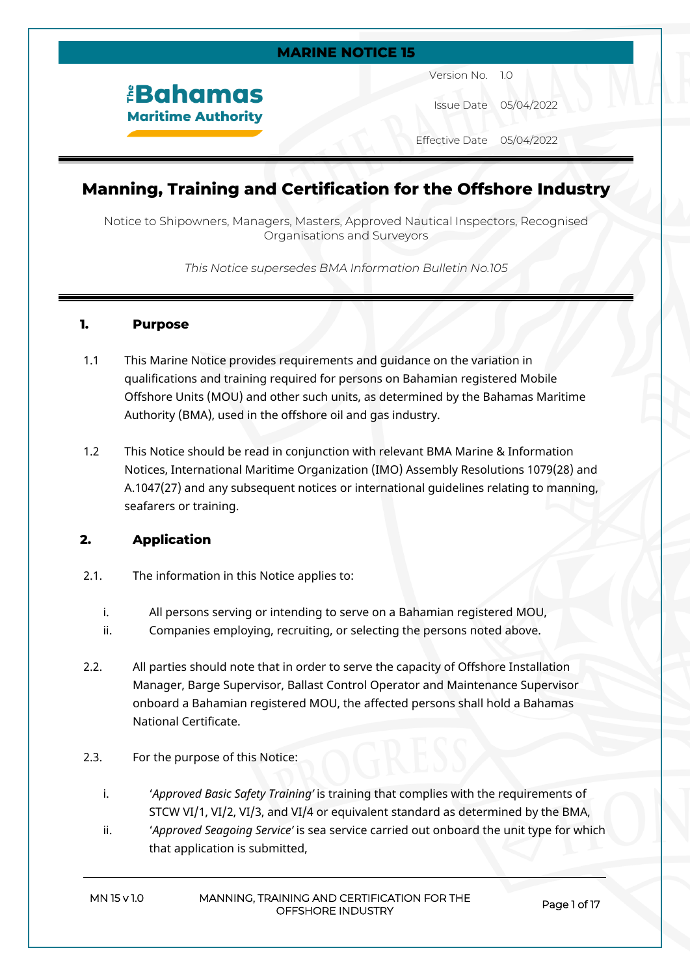## **MARINE NOTICE 15**

*<u><b>EBahamas</u>* **Maritime Authority**  Version No. 1.0

Issue Date 05/04/2022

Effective Date 05/04/2022

# **Manning, Training and Certification for the Offshore Industry**

Notice to Shipowners, Managers, Masters, Approved Nautical Inspectors, Recognised Organisations and Surveyors

*This Notice supersedes BMA Information Bulletin No.105*

### **1. Purpose**

- 1.1 This Marine Notice provides requirements and guidance on the variation in qualifications and training required for persons on Bahamian registered Mobile Offshore Units (MOU) and other such units, as determined by the Bahamas Maritime Authority (BMA), used in the offshore oil and gas industry.
- 1.2 This Notice should be read in conjunction with relevant BMA Marine & Information Notices, International Maritime Organization (IMO) Assembly Resolutions 1079(28) and A.1047(27) and any subsequent notices or international guidelines relating to manning, seafarers or training.

## **2. Application**

- 2.1. The information in this Notice applies to:
	- i. All persons serving or intending to serve on a Bahamian registered MOU,
	- ii. Companies employing, recruiting, or selecting the persons noted above.
- 2.2. All parties should note that in order to serve the capacity of Offshore Installation Manager, Barge Supervisor, Ballast Control Operator and Maintenance Supervisor onboard a Bahamian registered MOU, the affected persons shall hold a Bahamas National Certificate.
- 2.3. For the purpose of this Notice:
	- i. '*Approved Basic Safety Training'* is training that complies with the requirements of STCW VI/1, VI/2, VI/3, and VI/4 or equivalent standard as determined by the BMA,
	- ii. '*Approved Seagoing Service'* is sea service carried out onboard the unit type for which that application is submitted,

| MN 15 v 1.0 | MANNING, TRAINING AND CERTIFICATION FOR THE |
|-------------|---------------------------------------------|
|             | OFFSHORE INDUSTRY                           |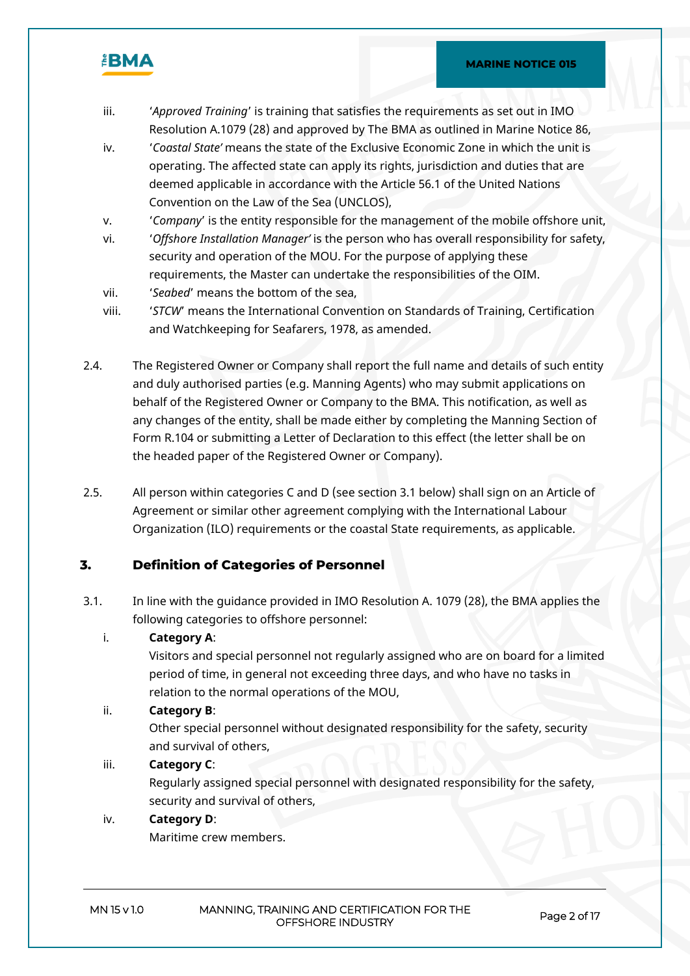

- iii. '*Approved Training*' is training that satisfies the requirements as set out in IMO Resolution A.1079 (28) and approved by The BMA as outlined in Marine Notice 86,
- iv. '*Coastal State'* means the state of the Exclusive Economic Zone in which the unit is operating. The affected state can apply its rights, jurisdiction and duties that are deemed applicable in accordance with the Article 56.1 of the United Nations Convention on the Law of the Sea (UNCLOS),
- v. '*Company*' is the entity responsible for the management of the mobile offshore unit,
- vi. '*Offshore Installation Manager'* is the person who has overall responsibility for safety, security and operation of the MOU. For the purpose of applying these requirements, the Master can undertake the responsibilities of the OIM.
- vii. '*Seabed*' means the bottom of the sea,
- viii. '*STCW*' means the International Convention on Standards of Training, Certification and Watchkeeping for Seafarers, 1978, as amended.
- 2.4. The Registered Owner or Company shall report the full name and details of such entity and duly authorised parties (e.g. Manning Agents) who may submit applications on behalf of the Registered Owner or Company to the BMA. This notification, as well as any changes of the entity, shall be made either by completing the Manning Section of Form R.104 or submitting a Letter of Declaration to this effect (the letter shall be on the headed paper of the Registered Owner or Company).
- 2.5. All person within categories C and D (see section 3.1 below) shall sign on an Article of Agreement or similar other agreement complying with the International Labour Organization (ILO) requirements or the coastal State requirements, as applicable.

## **3. Definition of Categories of Personnel**

3.1. In line with the guidance provided in IMO Resolution A. 1079 (28), the BMA applies the following categories to offshore personnel:

## i. **Category A**:

Visitors and special personnel not regularly assigned who are on board for a limited period of time, in general not exceeding three days, and who have no tasks in relation to the normal operations of the MOU,

#### ii. **Category B**:

Other special personnel without designated responsibility for the safety, security and survival of others,

## iii. **Category C**:

Regularly assigned special personnel with designated responsibility for the safety, security and survival of others,

## iv. **Category D**:

Maritime crew members.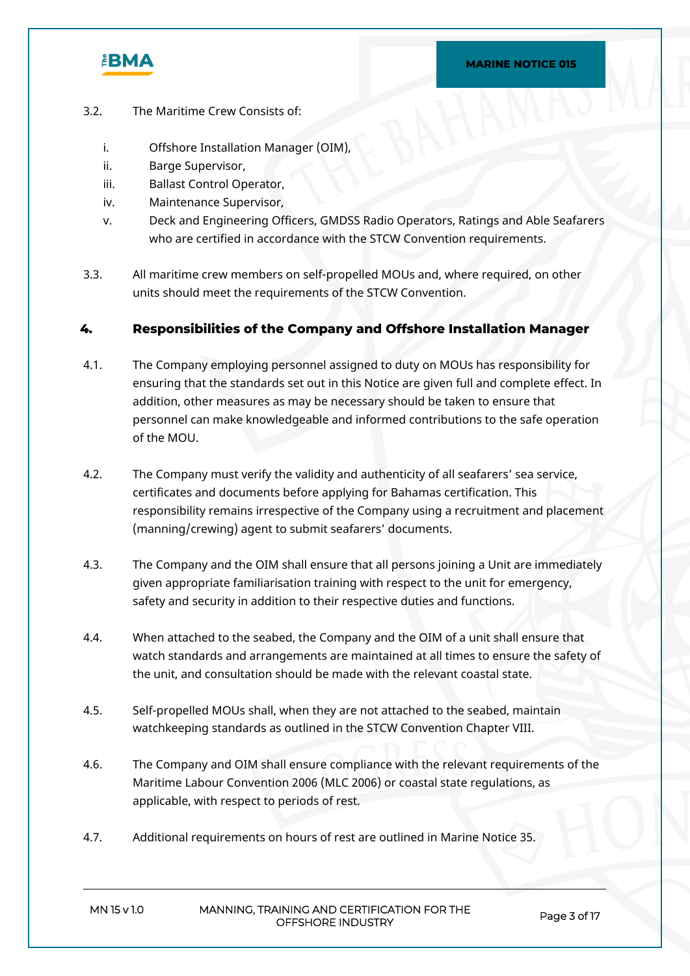

- 3.2. The Maritime Crew Consists of:
	- i. Offshore Installation Manager (OIM),
	- ii. Barge Supervisor,
	- iii. Ballast Control Operator,
	- iv. Maintenance Supervisor,
	- v. Deck and Engineering Officers, GMDSS Radio Operators, Ratings and Able Seafarers who are certified in accordance with the STCW Convention requirements.
- 3.3. All maritime crew members on self-propelled MOUs and, where required, on other units should meet the requirements of the STCW Convention.

## **4. Responsibilities of the Company and Offshore Installation Manager**

- 4.1. The Company employing personnel assigned to duty on MOUs has responsibility for ensuring that the standards set out in this Notice are given full and complete effect. In addition, other measures as may be necessary should be taken to ensure that personnel can make knowledgeable and informed contributions to the safe operation of the MOU.
- 4.2. The Company must verify the validity and authenticity of all seafarers' sea service, certificates and documents before applying for Bahamas certification. This responsibility remains irrespective of the Company using a recruitment and placement (manning/crewing) agent to submit seafarers' documents.
- 4.3. The Company and the OIM shall ensure that all persons joining a Unit are immediately given appropriate familiarisation training with respect to the unit for emergency, safety and security in addition to their respective duties and functions.
- 4.4. When attached to the seabed, the Company and the OIM of a unit shall ensure that watch standards and arrangements are maintained at all times to ensure the safety of the unit, and consultation should be made with the relevant coastal state.
- 4.5. Self-propelled MOUs shall, when they are not attached to the seabed, maintain watchkeeping standards as outlined in the STCW Convention Chapter VIII.
- 4.6. The Company and OIM shall ensure compliance with the relevant requirements of the Maritime Labour Convention 2006 (MLC 2006) or coastal state regulations, as applicable, with respect to periods of rest.
- 4.7. Additional requirements on hours of rest are outlined in Marine Notice 35.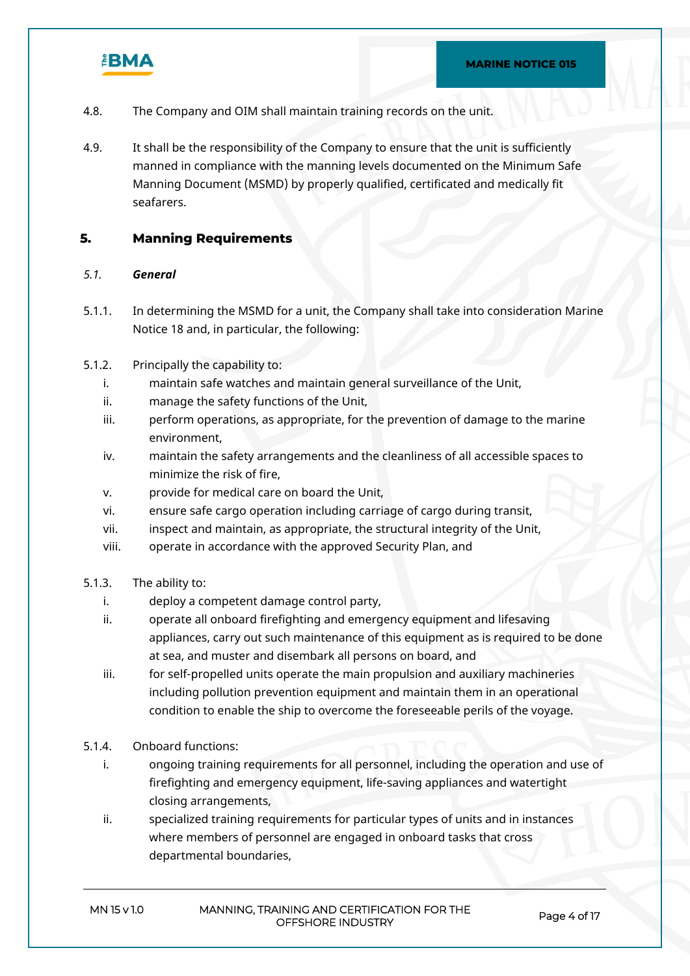

- 4.8. The Company and OIM shall maintain training records on the unit.
- 4.9. It shall be the responsibility of the Company to ensure that the unit is sufficiently manned in compliance with the manning levels documented on the Minimum Safe Manning Document (MSMD) by properly qualified, certificated and medically fit seafarers.

## **5. Manning Requirements**

## *5.1. General*

- 5.1.1. In determining the MSMD for a unit, the Company shall take into consideration Marine Notice 18 and, in particular, the following:
- 5.1.2. Principally the capability to:
	- i. maintain safe watches and maintain general surveillance of the Unit,
	- ii. manage the safety functions of the Unit,
	- iii. perform operations, as appropriate, for the prevention of damage to the marine environment,
	- iv. maintain the safety arrangements and the cleanliness of all accessible spaces to minimize the risk of fire,
	- v. provide for medical care on board the Unit,
	- vi. ensure safe cargo operation including carriage of cargo during transit,
	- vii. inspect and maintain, as appropriate, the structural integrity of the Unit,
	- viii. operate in accordance with the approved Security Plan, and
- 5.1.3. The ability to:
	- i. deploy a competent damage control party,
	- ii. operate all onboard firefighting and emergency equipment and lifesaving appliances, carry out such maintenance of this equipment as is required to be done at sea, and muster and disembark all persons on board, and
	- iii. for self-propelled units operate the main propulsion and auxiliary machineries including pollution prevention equipment and maintain them in an operational condition to enable the ship to overcome the foreseeable perils of the voyage.
- 5.1.4. Onboard functions:
	- i. ongoing training requirements for all personnel, including the operation and use of firefighting and emergency equipment, life-saving appliances and watertight closing arrangements,
	- ii. specialized training requirements for particular types of units and in instances where members of personnel are engaged in onboard tasks that cross departmental boundaries,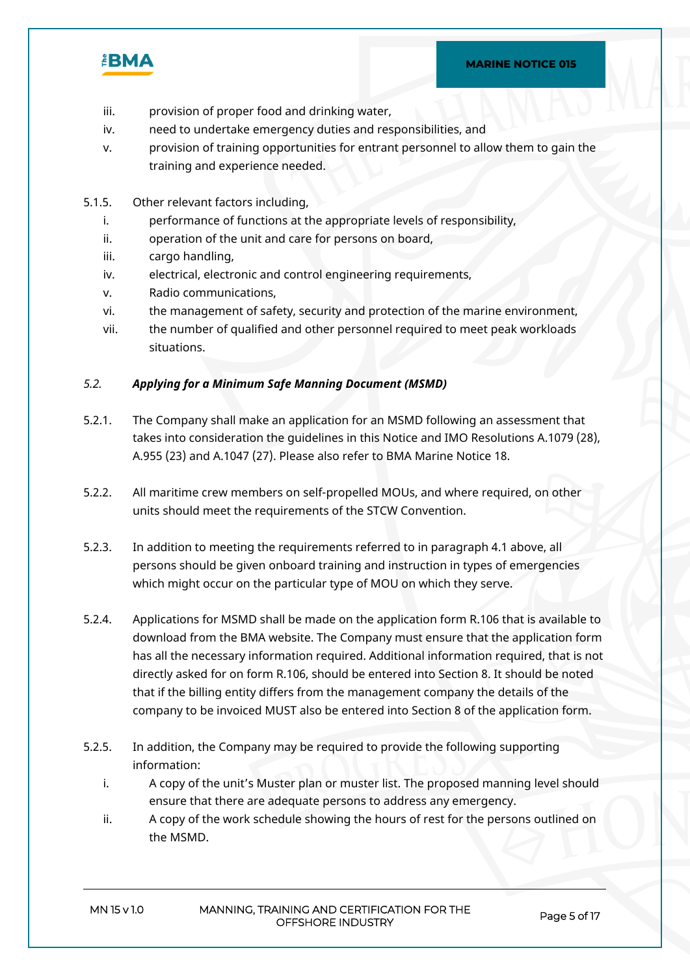

- iii. provision of proper food and drinking water,
- iv. need to undertake emergency duties and responsibilities, and
- v. provision of training opportunities for entrant personnel to allow them to gain the training and experience needed.
- 5.1.5. Other relevant factors including,
	- i. performance of functions at the appropriate levels of responsibility,
	- ii. operation of the unit and care for persons on board,
	- iii. cargo handling,
	- iv. electrical, electronic and control engineering requirements,
	- v. Radio communications,
	- vi. the management of safety, security and protection of the marine environment,
	- vii. the number of qualified and other personnel required to meet peak workloads situations.

#### *5.2. Applying for a Minimum Safe Manning Document (MSMD)*

- 5.2.1. The Company shall make an application for an MSMD following an assessment that takes into consideration the guidelines in this Notice and IMO Resolutions A.1079 (28), A.955 (23) and A.1047 (27). Please also refer to BMA Marine Notice 18.
- 5.2.2. All maritime crew members on self-propelled MOUs, and where required, on other units should meet the requirements of the STCW Convention.
- 5.2.3. In addition to meeting the requirements referred to in paragraph 4.1 above, all persons should be given onboard training and instruction in types of emergencies which might occur on the particular type of MOU on which they serve.
- 5.2.4. Applications for MSMD shall be made on the application form R.106 that is available to download from the BMA website. The Company must ensure that the application form has all the necessary information required. Additional information required, that is not directly asked for on form R.106, should be entered into Section 8. It should be noted that if the billing entity differs from the management company the details of the company to be invoiced MUST also be entered into Section 8 of the application form.
- 5.2.5. In addition, the Company may be required to provide the following supporting information:
	- i. A copy of the unit's Muster plan or muster list. The proposed manning level should ensure that there are adequate persons to address any emergency.
	- ii. A copy of the work schedule showing the hours of rest for the persons outlined on the MSMD.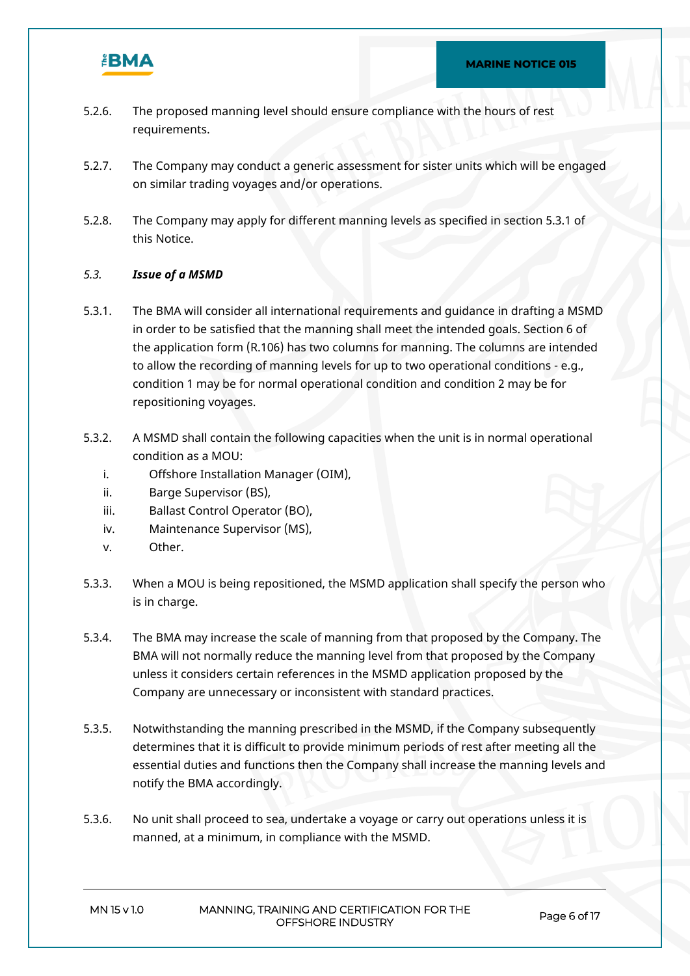

- 5.2.6. The proposed manning level should ensure compliance with the hours of rest requirements.
- 5.2.7. The Company may conduct a generic assessment for sister units which will be engaged on similar trading voyages and/or operations.
- 5.2.8. The Company may apply for different manning levels as specified in section 5.3.1 of this Notice.

## *5.3. Issue of a MSMD*

- 5.3.1. The BMA will consider all international requirements and guidance in drafting a MSMD in order to be satisfied that the manning shall meet the intended goals. Section 6 of the application form (R.106) has two columns for manning. The columns are intended to allow the recording of manning levels for up to two operational conditions - e.g., condition 1 may be for normal operational condition and condition 2 may be for repositioning voyages.
- 5.3.2. A MSMD shall contain the following capacities when the unit is in normal operational condition as a MOU:
	- i. Offshore Installation Manager (OIM),
	- ii. Barge Supervisor (BS),
	- iii. Ballast Control Operator (BO),
	- iv. Maintenance Supervisor (MS),
	- v. Other.
- 5.3.3. When a MOU is being repositioned, the MSMD application shall specify the person who is in charge.
- 5.3.4. The BMA may increase the scale of manning from that proposed by the Company. The BMA will not normally reduce the manning level from that proposed by the Company unless it considers certain references in the MSMD application proposed by the Company are unnecessary or inconsistent with standard practices.
- 5.3.5. Notwithstanding the manning prescribed in the MSMD, if the Company subsequently determines that it is difficult to provide minimum periods of rest after meeting all the essential duties and functions then the Company shall increase the manning levels and notify the BMA accordingly.
- 5.3.6. No unit shall proceed to sea, undertake a voyage or carry out operations unless it is manned, at a minimum, in compliance with the MSMD.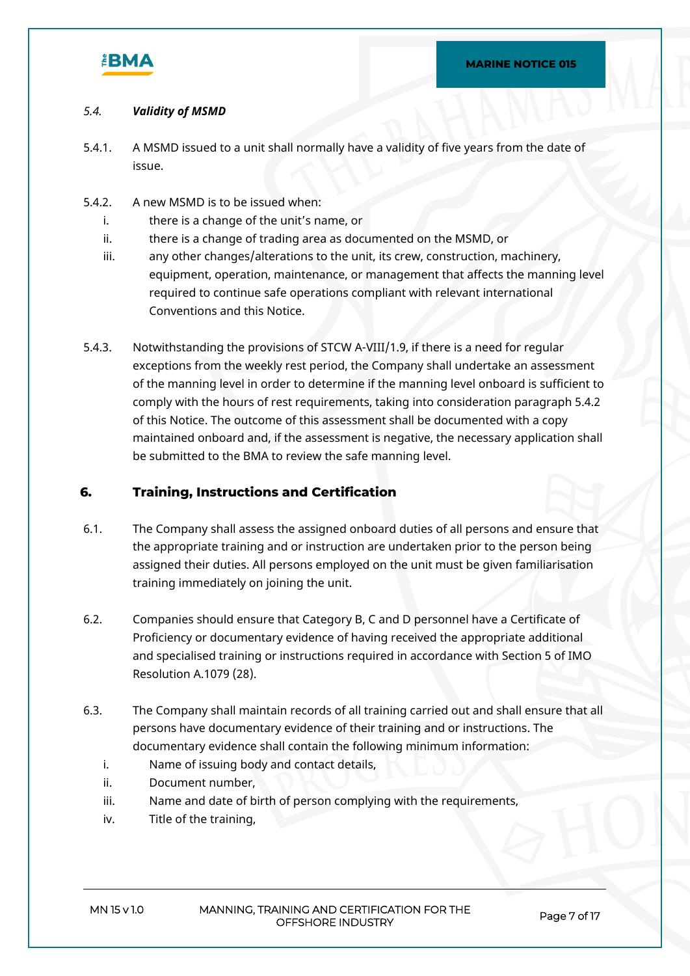

## *5.4. Validity of MSMD*

- 5.4.1. A MSMD issued to a unit shall normally have a validity of five years from the date of issue.
- 5.4.2. A new MSMD is to be issued when:
	- i. there is a change of the unit's name, or
	- ii. there is a change of trading area as documented on the MSMD, or
	- iii. any other changes/alterations to the unit, its crew, construction, machinery, equipment, operation, maintenance, or management that affects the manning level required to continue safe operations compliant with relevant international Conventions and this Notice.
- 5.4.3. Notwithstanding the provisions of STCW A-VIII/1.9, if there is a need for regular exceptions from the weekly rest period, the Company shall undertake an assessment of the manning level in order to determine if the manning level onboard is sufficient to comply with the hours of rest requirements, taking into consideration paragraph 5.4.2 of this Notice. The outcome of this assessment shall be documented with a copy maintained onboard and, if the assessment is negative, the necessary application shall be submitted to the BMA to review the safe manning level.

## **6. Training, Instructions and Certification**

- 6.1. The Company shall assess the assigned onboard duties of all persons and ensure that the appropriate training and or instruction are undertaken prior to the person being assigned their duties. All persons employed on the unit must be given familiarisation training immediately on joining the unit.
- 6.2. Companies should ensure that Category B, C and D personnel have a Certificate of Proficiency or documentary evidence of having received the appropriate additional and specialised training or instructions required in accordance with Section 5 of IMO Resolution A.1079 (28).
- 6.3. The Company shall maintain records of all training carried out and shall ensure that all persons have documentary evidence of their training and or instructions. The documentary evidence shall contain the following minimum information:
	- i. Name of issuing body and contact details,
	- ii. Document number,
	- iii. Name and date of birth of person complying with the requirements,
	- iv. Title of the training,

**MN 15 v 1.0 MANNING, TRAINING AND CERTIFICATION FOR THE OFFSHORE INDUSTRY Page 7 of 17**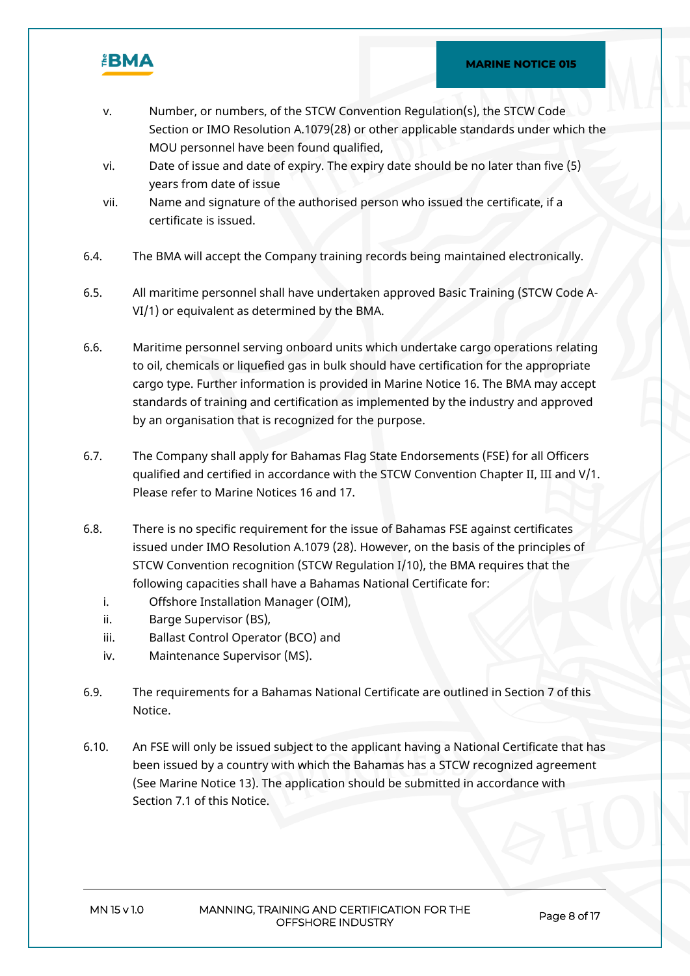

- v. Number, or numbers, of the STCW Convention Regulation(s), the STCW Code Section or IMO Resolution A.1079(28) or other applicable standards under which the MOU personnel have been found qualified,
- vi. Date of issue and date of expiry. The expiry date should be no later than five (5) years from date of issue
- vii. Name and signature of the authorised person who issued the certificate, if a certificate is issued.
- 6.4. The BMA will accept the Company training records being maintained electronically.
- 6.5. All maritime personnel shall have undertaken approved Basic Training (STCW Code A-VI/1) or equivalent as determined by the BMA.
- 6.6. Maritime personnel serving onboard units which undertake cargo operations relating to oil, chemicals or liquefied gas in bulk should have certification for the appropriate cargo type. Further information is provided in Marine Notice 16. The BMA may accept standards of training and certification as implemented by the industry and approved by an organisation that is recognized for the purpose.
- 6.7. The Company shall apply for Bahamas Flag State Endorsements (FSE) for all Officers qualified and certified in accordance with the STCW Convention Chapter II, III and V/1. Please refer to Marine Notices 16 and 17.
- 6.8. There is no specific requirement for the issue of Bahamas FSE against certificates issued under IMO Resolution A.1079 (28). However, on the basis of the principles of STCW Convention recognition (STCW Regulation I/10), the BMA requires that the following capacities shall have a Bahamas National Certificate for:
	- i. Offshore Installation Manager (OIM),
	- ii. Barge Supervisor (BS),
	- iii. Ballast Control Operator (BCO) and
	- iv. Maintenance Supervisor (MS).
- 6.9. The requirements for a Bahamas National Certificate are outlined in Section 7 of this Notice.
- 6.10. An FSE will only be issued subject to the applicant having a National Certificate that has been issued by a country with which the Bahamas has a STCW recognized agreement (See Marine Notice 13). The application should be submitted in accordance with Section 7.1 of this Notice.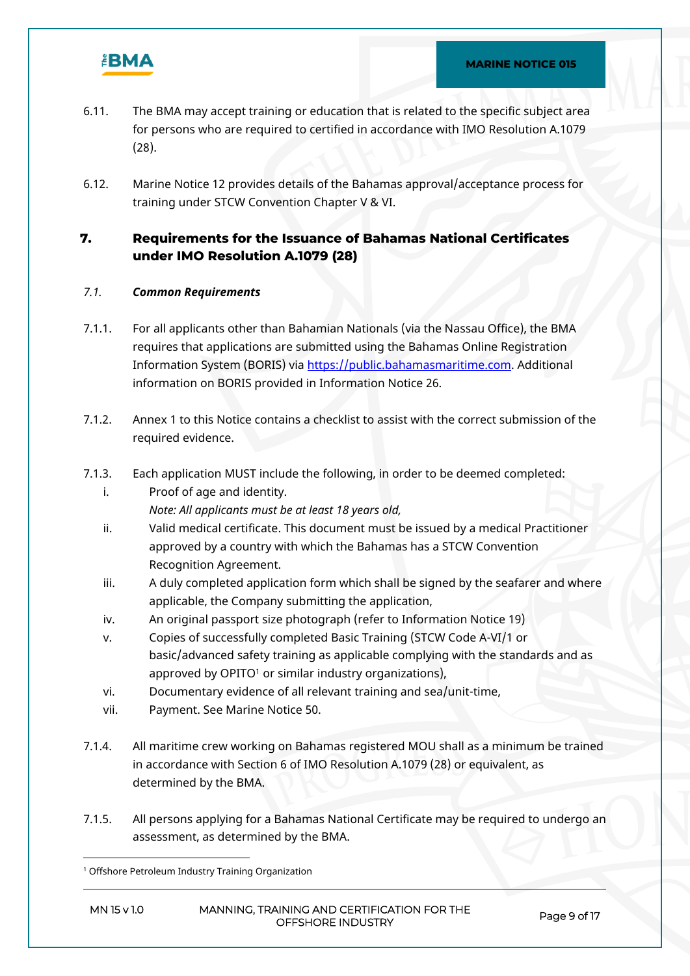

- 6.11. The BMA may accept training or education that is related to the specific subject area for persons who are required to certified in accordance with IMO Resolution A.1079 (28).
- 6.12. Marine Notice 12 provides details of the Bahamas approval/acceptance process for training under STCW Convention Chapter V & VI.

# **7. Requirements for the Issuance of Bahamas National Certificates under IMO Resolution A.1079 (28)**

## *7.1. Common Requirements*

- 7.1.1. For all applicants other than Bahamian Nationals (via the Nassau Office), the BMA requires that applications are submitted using the Bahamas Online Registration Information System (BORIS) via [https://public.bahamasmaritime.com](https://public.bahamasmaritime.com/). Additional information on BORIS provided in Information Notice 26.
- 7.1.2. Annex 1 to this Notice contains a checklist to assist with the correct submission of the required evidence.
- 7.1.3. Each application MUST include the following, in order to be deemed completed:
	- i. Proof of age and identity. *Note: All applicants must be at least 18 years old,*
	- ii. Valid medical certificate. This document must be issued by a medical Practitioner approved by a country with which the Bahamas has a STCW Convention Recognition Agreement.
	- iii. A duly completed application form which shall be signed by the seafarer and where applicable, the Company submitting the application,
	- iv. An original passport size photograph (refer to Information Notice 19)
	- v. Copies of successfully completed Basic Training (STCW Code A-VI/1 or basic/advanced safety training as applicable complying with the standards and as approved by OPITO<sup>1</sup> or similar industry organizations),
	- vi. Documentary evidence of all relevant training and sea/unit-time,
	- vii. Payment. See Marine Notice 50.
- 7.1.4. All maritime crew working on Bahamas registered MOU shall as a minimum be trained in accordance with Section 6 of IMO Resolution A.1079 (28) or equivalent, as determined by the BMA.
- 7.1.5. All persons applying for a Bahamas National Certificate may be required to undergo an assessment, as determined by the BMA.

<sup>1</sup> Offshore Petroleum Industry Training Organization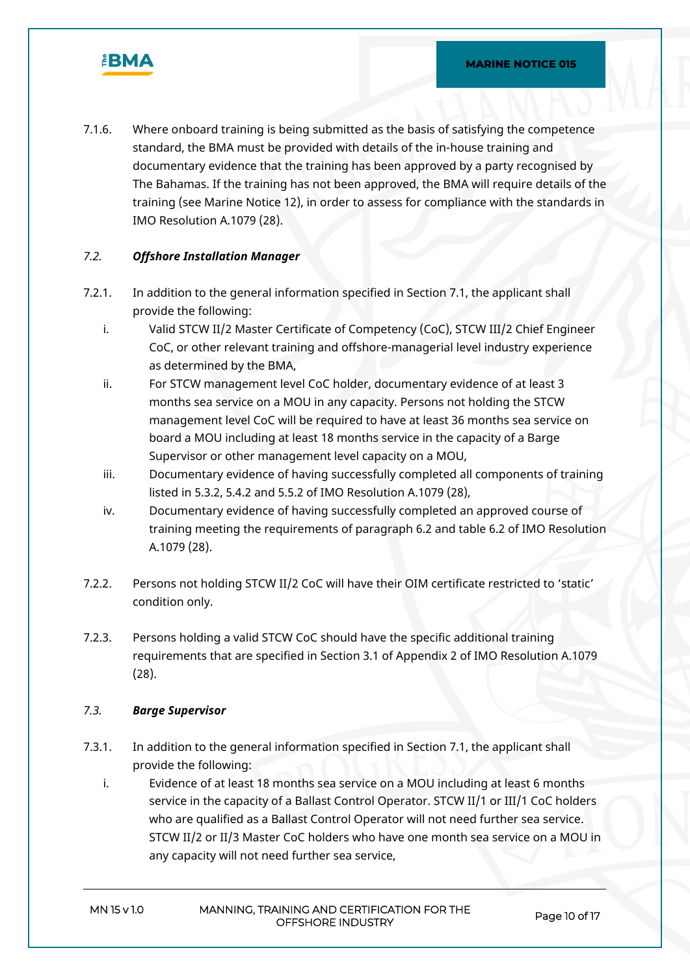

7.1.6. Where onboard training is being submitted as the basis of satisfying the competence standard, the BMA must be provided with details of the in-house training and documentary evidence that the training has been approved by a party recognised by The Bahamas. If the training has not been approved, the BMA will require details of the training (see Marine Notice 12), in order to assess for compliance with the standards in IMO Resolution A.1079 (28).

#### *7.2. Offshore Installation Manager*

- 7.2.1. In addition to the general information specified in Section 7.1, the applicant shall provide the following:
	- i. Valid STCW II/2 Master Certificate of Competency (CoC), STCW III/2 Chief Engineer CoC, or other relevant training and offshore-managerial level industry experience as determined by the BMA,
	- ii. For STCW management level CoC holder, documentary evidence of at least 3 months sea service on a MOU in any capacity. Persons not holding the STCW management level CoC will be required to have at least 36 months sea service on board a MOU including at least 18 months service in the capacity of a Barge Supervisor or other management level capacity on a MOU,
	- iii. Documentary evidence of having successfully completed all components of training listed in 5.3.2, 5.4.2 and 5.5.2 of IMO Resolution A.1079 (28),
	- iv. Documentary evidence of having successfully completed an approved course of training meeting the requirements of paragraph 6.2 and table 6.2 of IMO Resolution A.1079 (28).
- 7.2.2. Persons not holding STCW II/2 CoC will have their OIM certificate restricted to 'static' condition only.
- 7.2.3. Persons holding a valid STCW CoC should have the specific additional training requirements that are specified in Section 3.1 of Appendix 2 of IMO Resolution A.1079 (28).

#### *7.3. Barge Supervisor*

- 7.3.1. In addition to the general information specified in Section 7.1, the applicant shall provide the following:
	- i. Evidence of at least 18 months sea service on a MOU including at least 6 months service in the capacity of a Ballast Control Operator. STCW II/1 or III/1 CoC holders who are qualified as a Ballast Control Operator will not need further sea service. STCW II/2 or II/3 Master CoC holders who have one month sea service on a MOU in any capacity will not need further sea service,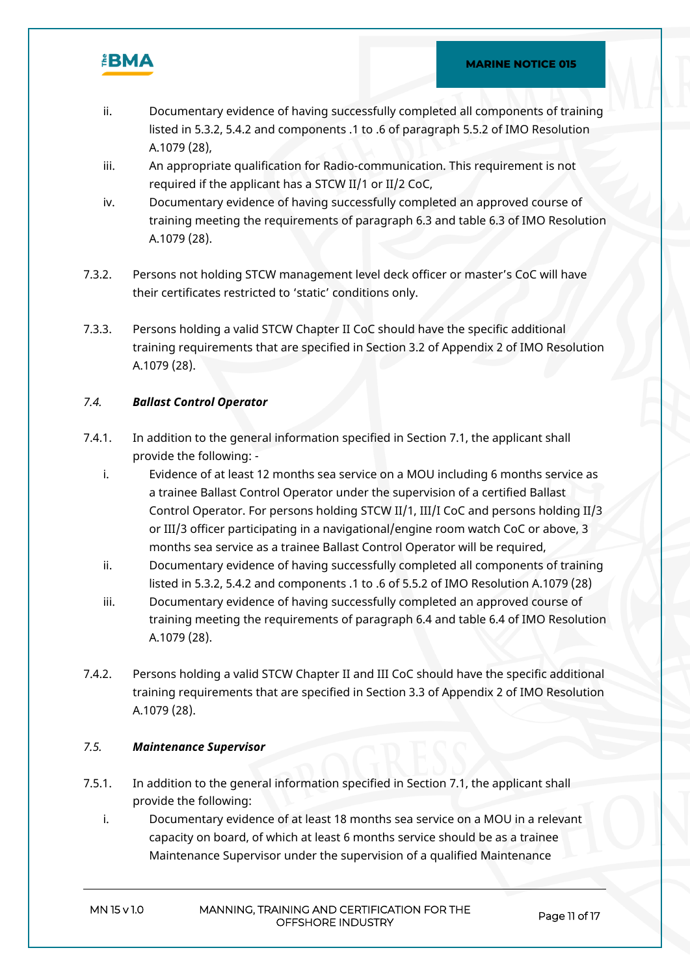

- ii. Documentary evidence of having successfully completed all components of training listed in 5.3.2, 5.4.2 and components .1 to .6 of paragraph 5.5.2 of IMO Resolution A.1079 (28),
- iii. An appropriate qualification for Radio-communication. This requirement is not required if the applicant has a STCW II/1 or II/2 CoC,
- iv. Documentary evidence of having successfully completed an approved course of training meeting the requirements of paragraph 6.3 and table 6.3 of IMO Resolution A.1079 (28).
- 7.3.2. Persons not holding STCW management level deck officer or master's CoC will have their certificates restricted to 'static' conditions only.
- 7.3.3. Persons holding a valid STCW Chapter II CoC should have the specific additional training requirements that are specified in Section 3.2 of Appendix 2 of IMO Resolution A.1079 (28).

## *7.4. Ballast Control Operator*

- 7.4.1. In addition to the general information specified in Section 7.1, the applicant shall provide the following:
	- i. Evidence of at least 12 months sea service on a MOU including 6 months service as a trainee Ballast Control Operator under the supervision of a certified Ballast Control Operator. For persons holding STCW II/1, III/I CoC and persons holding II/3 or III/3 officer participating in a navigational/engine room watch CoC or above, 3 months sea service as a trainee Ballast Control Operator will be required,
	- ii. Documentary evidence of having successfully completed all components of training listed in 5.3.2, 5.4.2 and components .1 to .6 of 5.5.2 of IMO Resolution A.1079 (28)
	- iii. Documentary evidence of having successfully completed an approved course of training meeting the requirements of paragraph 6.4 and table 6.4 of IMO Resolution A.1079 (28).
- 7.4.2. Persons holding a valid STCW Chapter II and III CoC should have the specific additional training requirements that are specified in Section 3.3 of Appendix 2 of IMO Resolution A.1079 (28).

## *7.5. Maintenance Supervisor*

- 7.5.1. In addition to the general information specified in Section 7.1, the applicant shall provide the following:
	- i. Documentary evidence of at least 18 months sea service on a MOU in a relevant capacity on board, of which at least 6 months service should be as a trainee Maintenance Supervisor under the supervision of a qualified Maintenance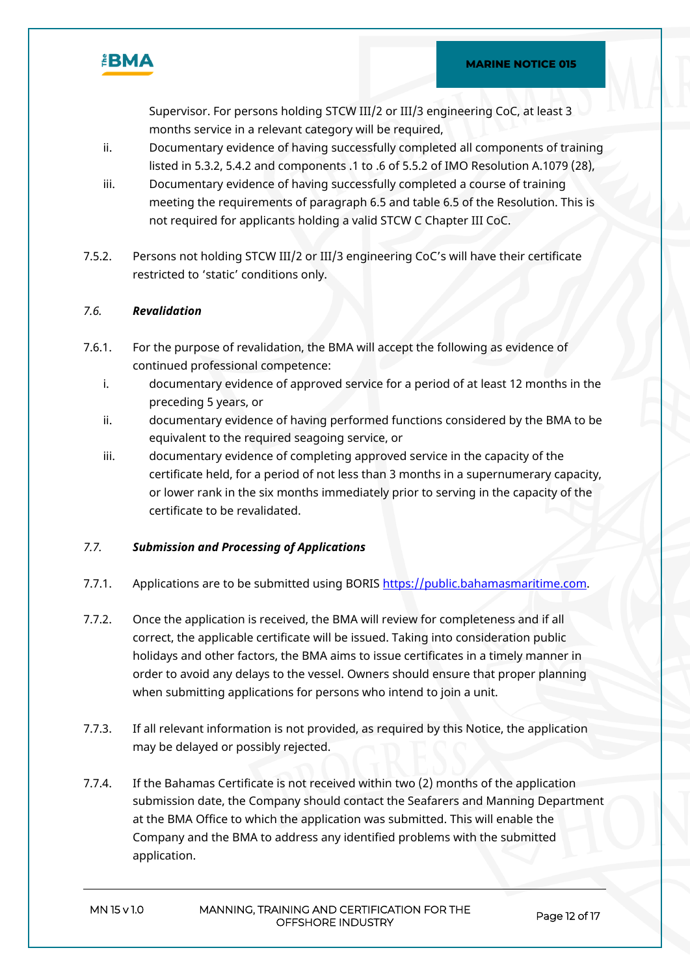

Supervisor. For persons holding STCW III/2 or III/3 engineering CoC, at least 3 months service in a relevant category will be required,

- ii. Documentary evidence of having successfully completed all components of training listed in 5.3.2, 5.4.2 and components .1 to .6 of 5.5.2 of IMO Resolution A.1079 (28),
- iii. Documentary evidence of having successfully completed a course of training meeting the requirements of paragraph 6.5 and table 6.5 of the Resolution. This is not required for applicants holding a valid STCW C Chapter III CoC.
- 7.5.2. Persons not holding STCW III/2 or III/3 engineering CoC's will have their certificate restricted to 'static' conditions only.

## *7.6. Revalidation*

- 7.6.1. For the purpose of revalidation, the BMA will accept the following as evidence of continued professional competence:
	- i. documentary evidence of approved service for a period of at least 12 months in the preceding 5 years, or
	- ii. documentary evidence of having performed functions considered by the BMA to be equivalent to the required seagoing service, or
	- iii. documentary evidence of completing approved service in the capacity of the certificate held, for a period of not less than 3 months in a supernumerary capacity, or lower rank in the six months immediately prior to serving in the capacity of the certificate to be revalidated.

## *7.7. Submission and Processing of Applications*

- 7.7.1. Applications are to be submitted using BORIS [https://public.bahamasmaritime.com](https://public.bahamasmaritime.com/).
- 7.7.2. Once the application is received, the BMA will review for completeness and if all correct, the applicable certificate will be issued. Taking into consideration public holidays and other factors, the BMA aims to issue certificates in a timely manner in order to avoid any delays to the vessel. Owners should ensure that proper planning when submitting applications for persons who intend to join a unit.
- 7.7.3. If all relevant information is not provided, as required by this Notice, the application may be delayed or possibly rejected.
- 7.7.4. If the Bahamas Certificate is not received within two (2) months of the application submission date, the Company should contact the Seafarers and Manning Department at the BMA Office to which the application was submitted. This will enable the Company and the BMA to address any identified problems with the submitted application.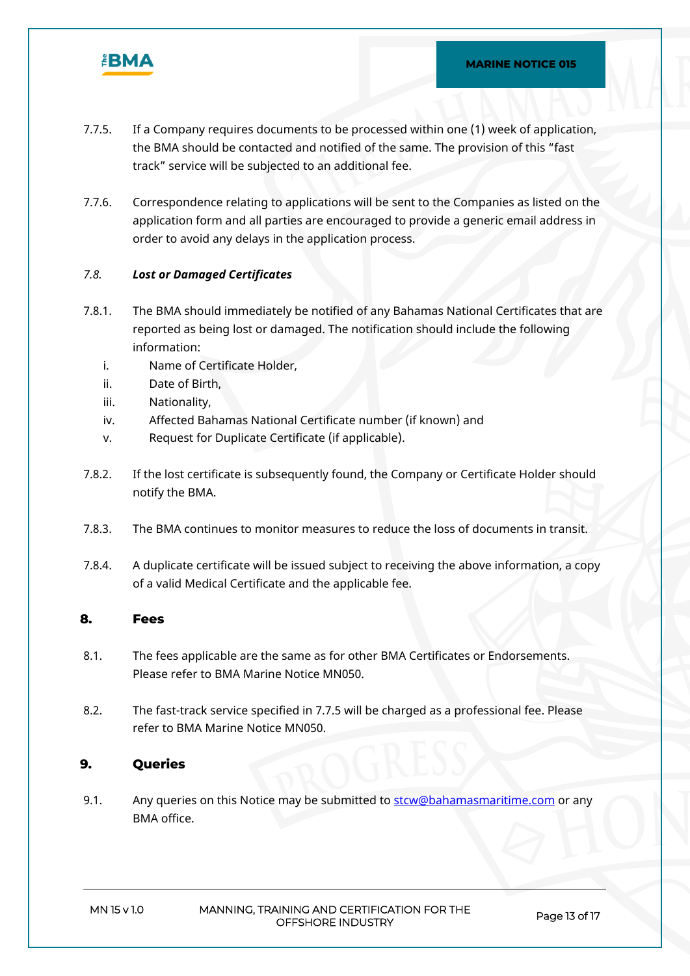

- 7.7.5. If a Company requires documents to be processed within one (1) week of application, the BMA should be contacted and notified of the same. The provision of this "fast track" service will be subjected to an additional fee.
- 7.7.6. Correspondence relating to applications will be sent to the Companies as listed on the application form and all parties are encouraged to provide a generic email address in order to avoid any delays in the application process.

#### *7.8. Lost or Damaged Certificates*

- 7.8.1. The BMA should immediately be notified of any Bahamas National Certificates that are reported as being lost or damaged. The notification should include the following information:
	- i. Name of Certificate Holder,
	- ii. Date of Birth,
	- iii. Nationality,
	- iv. Affected Bahamas National Certificate number (if known) and
	- v. Request for Duplicate Certificate (if applicable).
- 7.8.2. If the lost certificate is subsequently found, the Company or Certificate Holder should notify the BMA.
- 7.8.3. The BMA continues to monitor measures to reduce the loss of documents in transit.
- 7.8.4. A duplicate certificate will be issued subject to receiving the above information, a copy of a valid Medical Certificate and the applicable fee.

#### **8. Fees**

- 8.1. The fees applicable are the same as for other BMA Certificates or Endorsements. Please refer to BMA Marine Notice MN050.
- 8.2. The fast-track service specified in 7.7.5 will be charged as a professional fee. Please refer to BMA Marine Notice MN050.

## **9. Queries**

9.1. Any queries on this Notice may be submitted to stow@bahamasmaritime.com or any BMA office.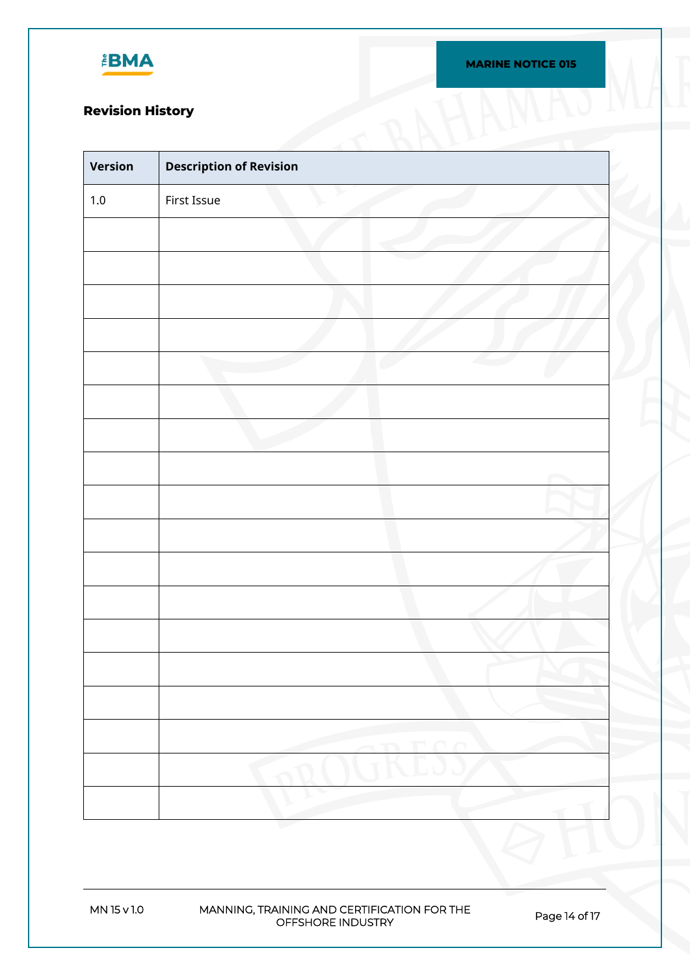

# **Revision History**

| Version | <b>Description of Revision</b> |  |
|---------|--------------------------------|--|
| $1.0\,$ | First Issue                    |  |
|         |                                |  |
|         |                                |  |
|         |                                |  |
|         |                                |  |
|         |                                |  |
|         |                                |  |
|         |                                |  |
|         |                                |  |
|         |                                |  |
|         |                                |  |
|         |                                |  |
|         |                                |  |
|         |                                |  |
|         |                                |  |
|         |                                |  |
|         |                                |  |
|         |                                |  |
|         |                                |  |
|         |                                |  |

**MN 15 v 1.0 MANNING, TRAINING AND CERTIFICATION FOR THE OFFSHORE INDUSTRY Page 14 of 17**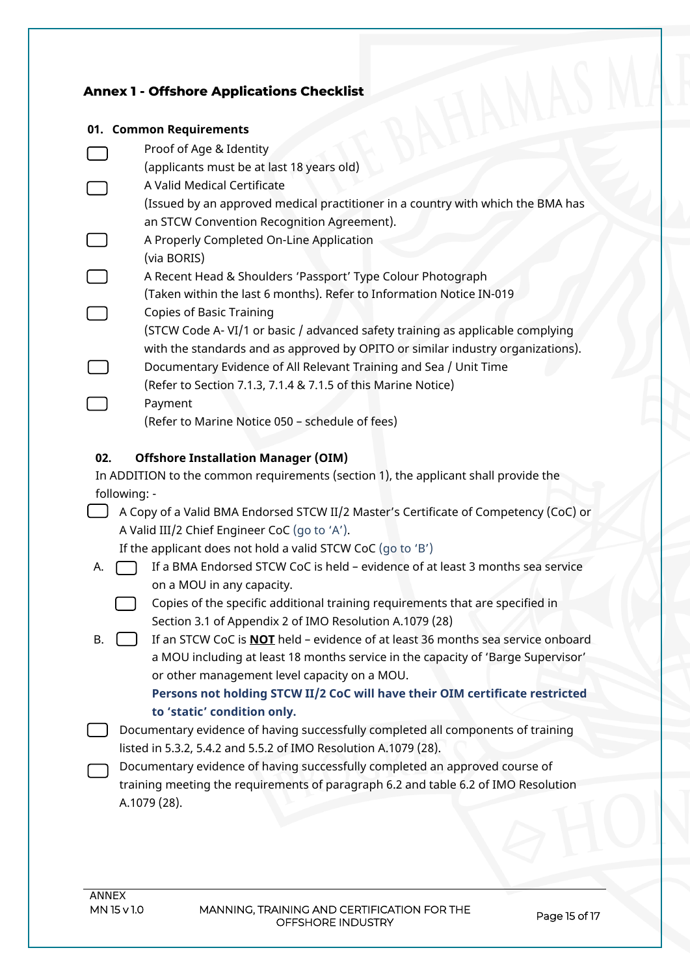# **Annex 1 - Offshore Applications Checklist**

## **01. Common Requirements**

| v                                                                                    | COMMUNI REGAN CHICHLS                                                                  |  |
|--------------------------------------------------------------------------------------|----------------------------------------------------------------------------------------|--|
|                                                                                      | Proof of Age & Identity                                                                |  |
|                                                                                      | (applicants must be at last 18 years old)                                              |  |
|                                                                                      | A Valid Medical Certificate                                                            |  |
|                                                                                      | (Issued by an approved medical practitioner in a country with which the BMA has        |  |
|                                                                                      | an STCW Convention Recognition Agreement).                                             |  |
|                                                                                      | A Properly Completed On-Line Application                                               |  |
|                                                                                      | (via BORIS)                                                                            |  |
|                                                                                      | A Recent Head & Shoulders 'Passport' Type Colour Photograph                            |  |
|                                                                                      | (Taken within the last 6 months). Refer to Information Notice IN-019                   |  |
|                                                                                      | <b>Copies of Basic Training</b>                                                        |  |
|                                                                                      | (STCW Code A-VI/1 or basic / advanced safety training as applicable complying          |  |
|                                                                                      | with the standards and as approved by OPITO or similar industry organizations).        |  |
|                                                                                      | Documentary Evidence of All Relevant Training and Sea / Unit Time                      |  |
|                                                                                      | (Refer to Section 7.1.3, 7.1.4 & 7.1.5 of this Marine Notice)                          |  |
|                                                                                      | Payment                                                                                |  |
|                                                                                      | (Refer to Marine Notice 050 - schedule of fees)                                        |  |
|                                                                                      |                                                                                        |  |
| 02.                                                                                  | <b>Offshore Installation Manager (OIM)</b>                                             |  |
|                                                                                      | In ADDITION to the common requirements (section 1), the applicant shall provide the    |  |
| following: -                                                                         |                                                                                        |  |
| A Copy of a Valid BMA Endorsed STCW II/2 Master's Certificate of Competency (CoC) or |                                                                                        |  |
|                                                                                      | A Valid III/2 Chief Engineer CoC (go to 'A').                                          |  |
|                                                                                      | If the applicant does not hold a valid STCW CoC (go to 'B')                            |  |
| A.                                                                                   | If a BMA Endorsed STCW CoC is held - evidence of at least 3 months sea service         |  |
|                                                                                      | on a MOU in any capacity.                                                              |  |
|                                                                                      | Copies of the specific additional training requirements that are specified in          |  |
|                                                                                      | Section 3.1 of Appendix 2 of IMO Resolution A.1079 (28)                                |  |
| В.                                                                                   | If an STCW CoC is <b>NOT</b> held - evidence of at least 36 months sea service onboard |  |
|                                                                                      | a MOU including at least 18 months service in the capacity of 'Barge Supervisor'       |  |
|                                                                                      | or other management level capacity on a MOU.                                           |  |
|                                                                                      | Persons not holding STCW II/2 CoC will have their OIM certificate restricted           |  |
|                                                                                      | to 'static' condition only.                                                            |  |
|                                                                                      |                                                                                        |  |

- Documentary evidence of having successfully completed all components of training listed in 5.3.2, 5.4.2 and 5.5.2 of IMO Resolution A.1079 (28).
	- Documentary evidence of having successfully completed an approved course of training meeting the requirements of paragraph 6.2 and table 6.2 of IMO Resolution A.1079 (28).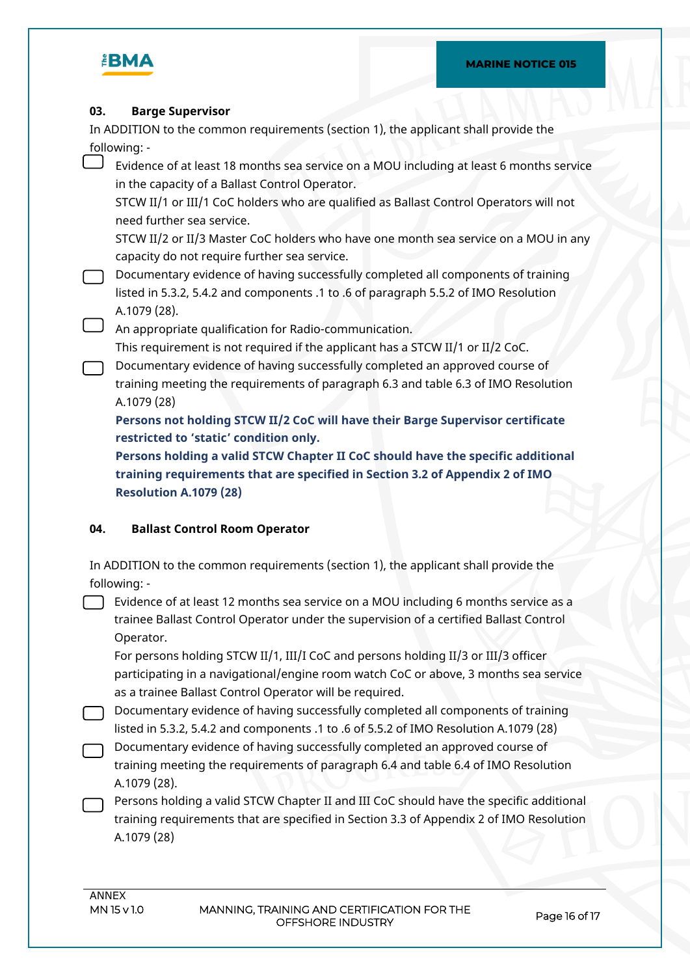

#### **03. Barge Supervisor**

In ADDITION to the common requirements (section 1), the applicant shall provide the following: -

Evidence of at least 18 months sea service on a MOU including at least 6 months service in the capacity of a Ballast Control Operator.

STCW II/1 or III/1 CoC holders who are qualified as Ballast Control Operators will not need further sea service.

STCW II/2 or II/3 Master CoC holders who have one month sea service on a MOU in any capacity do not require further sea service.

- Documentary evidence of having successfully completed all components of training listed in 5.3.2, 5.4.2 and components .1 to .6 of paragraph 5.5.2 of IMO Resolution A.1079 (28).
- An appropriate qualification for Radio-communication.

This requirement is not required if the applicant has a STCW II/1 or II/2 CoC.

Documentary evidence of having successfully completed an approved course of training meeting the requirements of paragraph 6.3 and table 6.3 of IMO Resolution A.1079 (28)

**Persons not holding STCW II/2 CoC will have their Barge Supervisor certificate restricted to 'static' condition only.**

**Persons holding a valid STCW Chapter II CoC should have the specific additional training requirements that are specified in Section 3.2 of Appendix 2 of IMO Resolution A.1079 (28)**

## **04. Ballast Control Room Operator**

| In ADDITION to the common requirements (section 1), the applicant shall provide the |  |
|-------------------------------------------------------------------------------------|--|
| following: -                                                                        |  |

Evidence of at least 12 months sea service on a MOU including 6 months service as a trainee Ballast Control Operator under the supervision of a certified Ballast Control Operator.

For persons holding STCW II/1, III/I CoC and persons holding II/3 or III/3 officer participating in a navigational/engine room watch CoC or above, 3 months sea service as a trainee Ballast Control Operator will be required.

Documentary evidence of having successfully completed all components of training listed in 5.3.2, 5.4.2 and components .1 to .6 of 5.5.2 of IMO Resolution A.1079 (28)

Documentary evidence of having successfully completed an approved course of training meeting the requirements of paragraph 6.4 and table 6.4 of IMO Resolution A.1079 (28).

Persons holding a valid STCW Chapter II and III CoC should have the specific additional training requirements that are specified in Section 3.3 of Appendix 2 of IMO Resolution A.1079 (28)